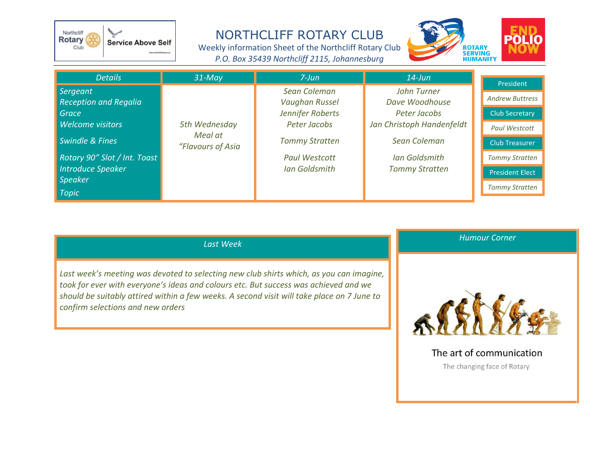

## NORTHCLIFF ROTARY CLUB

Weekly information Sheet of the Northcliff Rotary Club *P.O. Box 35439 Northcliff 2115, Johannesburg*



| <b>Details</b>                                                                                                           | $31$ -May                                     | $7$ -Jun                                                           | $14$ -Jun                                                                  |                                                                                            |
|--------------------------------------------------------------------------------------------------------------------------|-----------------------------------------------|--------------------------------------------------------------------|----------------------------------------------------------------------------|--------------------------------------------------------------------------------------------|
| Sergeant<br><b>Reception and Regalia</b><br>Grace<br>Welcome visitors                                                    | 5th Wednesday<br>Meal at<br>"Flavours of Asia | Sean Coleman<br>Vaughan Russel<br>Jennifer Roberts<br>Peter Jacobs | John Turner<br>Dave Woodhouse<br>Peter Jacobs<br>Jan Christoph Handenfeldt | President<br><b>Andrew Buttress</b><br><b>Club Secretary</b><br><b>Paul Westcott</b>       |
| <b>Swindle &amp; Fines</b><br>Rotary 90" Slot / Int. Toast<br><b>Introduce Speaker</b><br><b>Speaker</b><br><b>Topic</b> |                                               | <b>Tommy Stratten</b><br><b>Paul Westcott</b><br>Ian Goldsmith     | Sean Coleman<br><b>Ian Goldsmith</b><br><b>Tommy Stratten</b>              | Club Treasurer<br><b>Tommy Stratten</b><br><b>President Elect</b><br><b>Tommy Stratten</b> |

## *Last Week*

*Last week's meeting was devoted to selecting new club shirts which, as you can imagine, took for ever with everyone's ideas and colours etc. But success was achieved and we should be suitably attired within a few weeks. A second visit will take place on 7 June to confirm selections and new orders*





The art of communication

The changing face of Rotary